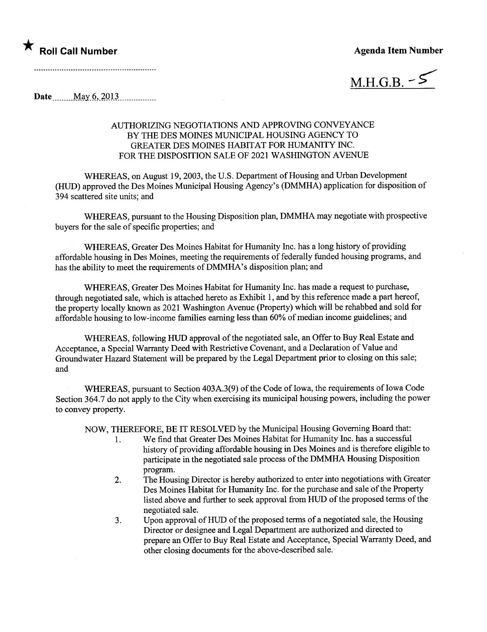## ★ Roll Call Number Agenda Item Number

 $M.H.G.B.$  -  $\leq$ 

 $\textbf{Date}$  May 6, 2013

## AUTHORIZING NEGOTIATIONS AND APPROVING CONVEYANCE BY THE DES MOINS MUNICIPAL HOUSING AGENCY TO GREATER DES MOINES HABITAT FOR HUMANITY INC. FOR THE DISPOSITION SALE OF 2021 WASHINGTON AVENUE

WHEREAS, on August 19,2003, the U.S. Department of Housing and Urban Development (HU) approved the Des Moines Municipal Housing Agency's (DMMHA) application for disposition of 394 scattered site units; and

WHEREAS, pursuant to the Housing Disposition plan, DMMHA may negotiate with prospective buyers for the sale of specific properties; and

WHEREAS, Greater Des Moines Habitat for Humanity Inc. has a long history of providing affordable housing in Des Moines, meeting the requirements of federally fuded housing programs, and has the ability to meet the requirements of DMMHA's disposition plan; and

WHEREAS, Greater Des Moines Habitat for Humanity Inc. has made a request to purchase, through negotiated sale, which is attached hereto as Exhibit 1, and by this reference made a part hereof, the property locally known as 2021 Washington Avenue (Property) which wil be rehabbed and sold for affordable housing to low-income families earning less than  $60\%$  of median income guidelines; and

WHEREAS, following HUD approval of the negotiated sale, an Offer to Buy Real Estate and Acceptance, a Special Waranty Deed with Restrictive Covenant, and a Declaration of Value and Groundwater Hazard Statement will be prepared by the Legal Department prior to closing on this sale; and

WHEREAS, pursuant to Section 403A.3(9) of the Code of Iowa, the requirements of Iowa Code Section 364.7 do not apply to the City when exercising its muncipal housing powers, including the power to convey property.

NOW, THEREFORE, BE IT RESOLVED by the Municipal Housing Governing Board that:

- 1. We find that Greater Des Moines Habitat for Humanity Inc. has a successful history of providing affordable housing in Des Moines and is therefore eligible to participate in the negotiated sale process of the DMMHA Housing Disposition program.
- 2. The Housing Director is hereby authorized to enter into negotiations with Greater Des Moines Habitat for Humanty Inc. for the purchase and sale of the Property listed above and further to seek approval from HUD of the proposed terms of the negotiated sale.
- 3. Upon approval of HUD of the proposed terms of a negotiated sale, the Housing Director or designee and Legal Deparment are authorized and directed to prepare an Offer to Buy Real Estate and Acceptance, Special Warranty Deed, and other closing documents for the above-described sale.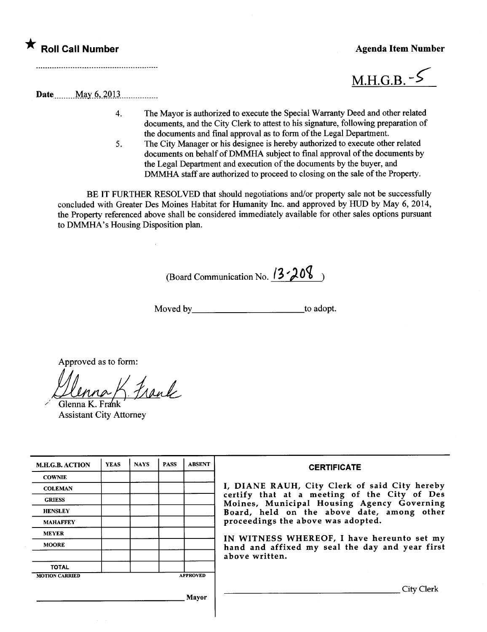## \* Roll Call Number Agenda Item Number Agenda Item Number



Date.\_\_\_\_\_ \_ \_\_ \_Ma.y\_t?,.~QU\_\_\_\_\_\_\_ \_ \_ \_ \_\_\_\_\_\_

- 4. The Mayor is authorized to execute the Special Waranty Deed and other related documents, and the City Clerk to attest to his signatue, following preparation of the documents and final approval as to form of the Legal Department.
- 5. The City Manager or his designee is hereby authorized to execute other related documents on behalf of DMMHA subject to final approval of the documents by the Legal Department and execution of the documents by the buyer, and DMMHA staff are authorized to proceed to closing on the sale of the Property.

BE IT FURTHER RESOLVED that should negotiations and/or property sale not be successfully concluded with Greater Des Moines Habitat for Humanity Inc. and approved by HUD by May 6, 2014, the Property referenced above shall be considered immediately available for other sales options pursuant to DMMHA's Housing Disposition plan.

(Board Communication No.  $13 - 208$ )

Moved by to adopt.

Approved as to form:

Ulnna K. Frank

Assistant City Attorney

| <b>M.H.G.B. ACTION</b> | <b>YEAS</b> | <b>NAYS</b> | <b>PASS</b> | <b>ABSENT</b>   | <b>CERTIFICATE</b>                                                                         |  |  |  |
|------------------------|-------------|-------------|-------------|-----------------|--------------------------------------------------------------------------------------------|--|--|--|
| <b>COWNIE</b>          |             |             |             |                 |                                                                                            |  |  |  |
| <b>COLEMAN</b>         |             |             |             |                 | I, DIANE RAUH, City Clerk of said City hereby                                              |  |  |  |
| <b>GRIESS</b>          |             |             |             |                 | certify that at a meeting of the City of Des<br>Moines, Municipal Housing Agency Governing |  |  |  |
| <b>HENSLEY</b>         |             |             |             |                 | Board, held on the above date, among other                                                 |  |  |  |
| <b>MAHAFFEY</b>        |             |             |             |                 | proceedings the above was adopted.                                                         |  |  |  |
| <b>MEYER</b>           |             |             |             |                 | IN WITNESS WHEREOF, I have hereunto set my                                                 |  |  |  |
| <b>MOORE</b>           |             |             |             |                 | hand and affixed my seal the day and year first                                            |  |  |  |
|                        |             |             |             |                 | above written.                                                                             |  |  |  |
| <b>TOTAL</b>           |             |             |             |                 |                                                                                            |  |  |  |
| <b>MOTION CARRIED</b>  |             |             |             | <b>APPROVED</b> |                                                                                            |  |  |  |
|                        |             |             |             | Mayor           | City Clerk                                                                                 |  |  |  |